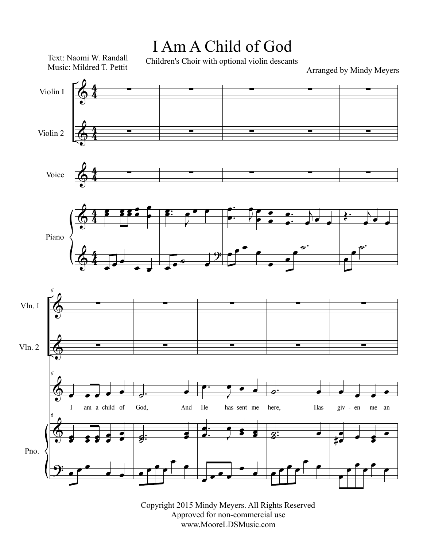# I Am A Child of God

Text: Naomi W. Randall Children's Choir with optional violin descants<br>Music: Mildred T. Pettit

Text: Naomi W. Randall

Arranged by Mindy Meyers

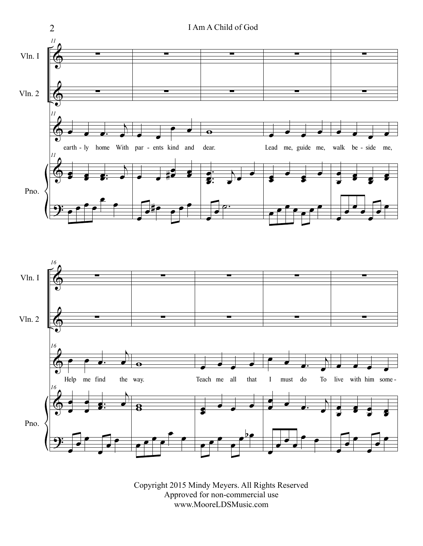

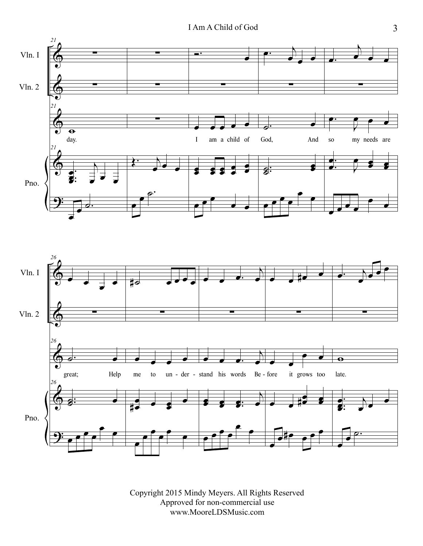



Copyright 2015 Mindy Meyers. All Rights Reserved Approved for non-commercial use www.MooreLDSMusic.com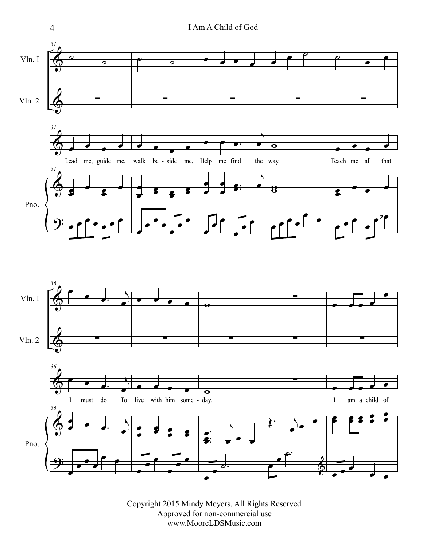

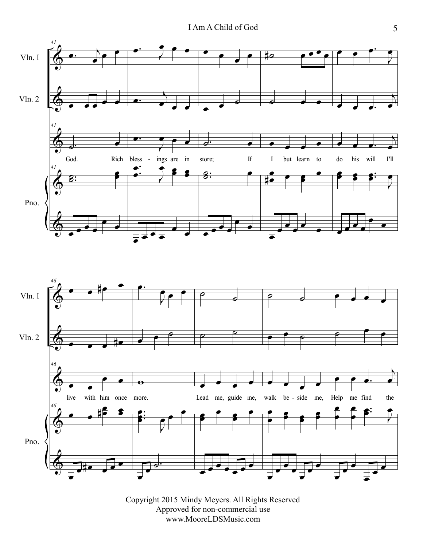

Copyright 2015 Mindy Meyers. All Rights Reserved Approved for non-commercial use www.MooreLDSMusic.com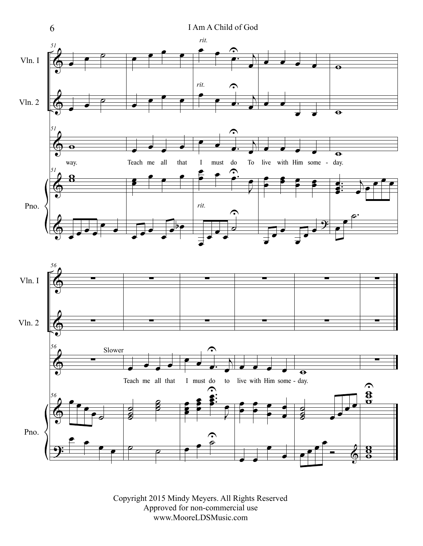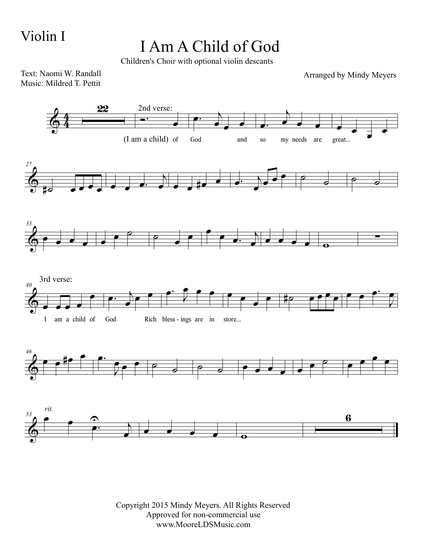## I Am A Child of God

Children's Choir with optional violin descants

Text: Naomi W. Randall Music: Mildred T. Pettit Arranged by Mindy Meyers

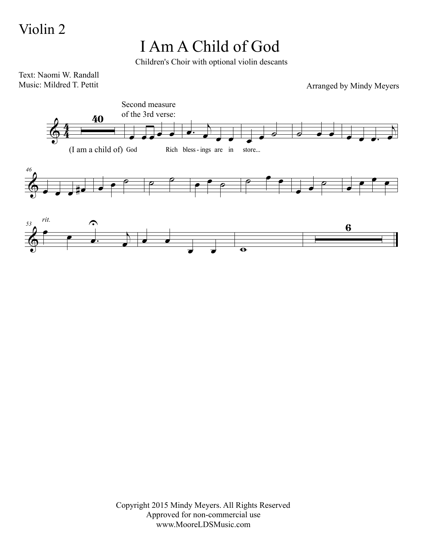### Violin 2

# I Am A Child of God

Children's Choir with optional violin descants

Text: Naomi W. Randall Music: Mildred T. Pettit

Arranged by Mindy Meyers

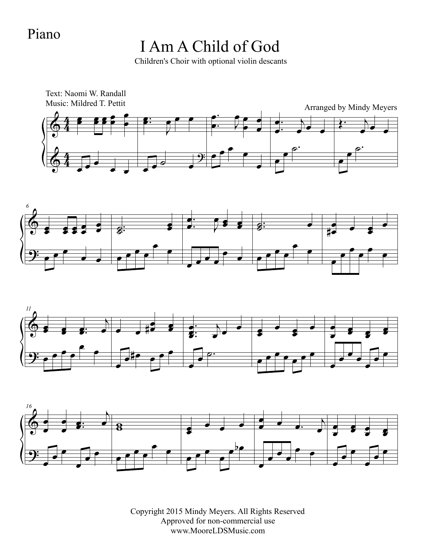### Piano

## I Am A Child of God

Children's Choir with optional violin descants







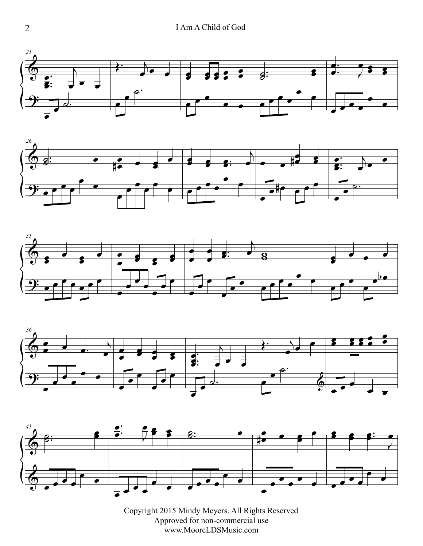









Copyright 2015 Mindy Meyers. All Rights Reserved Approved for non-commercial use www.MooreLDSMusic.com